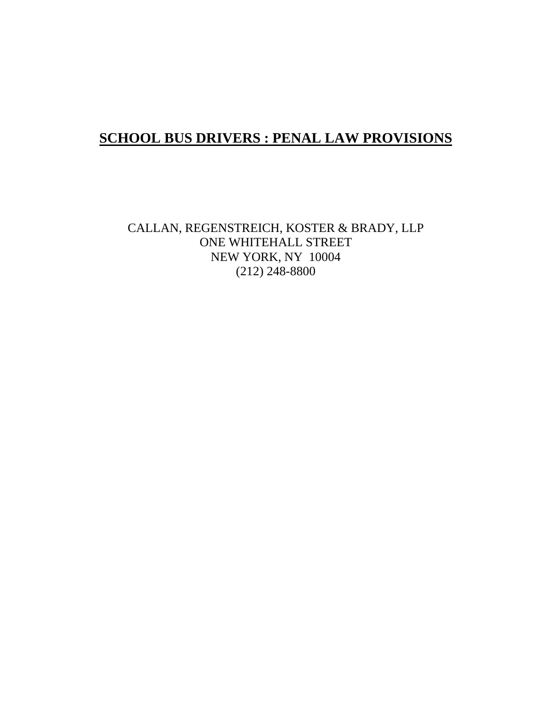## **SCHOOL BUS DRIVERS : PENAL LAW PROVISIONS**

CALLAN, REGENSTREICH, KOSTER & BRADY, LLP ONE WHITEHALL STREET NEW YORK, NY 10004 (212) 248-8800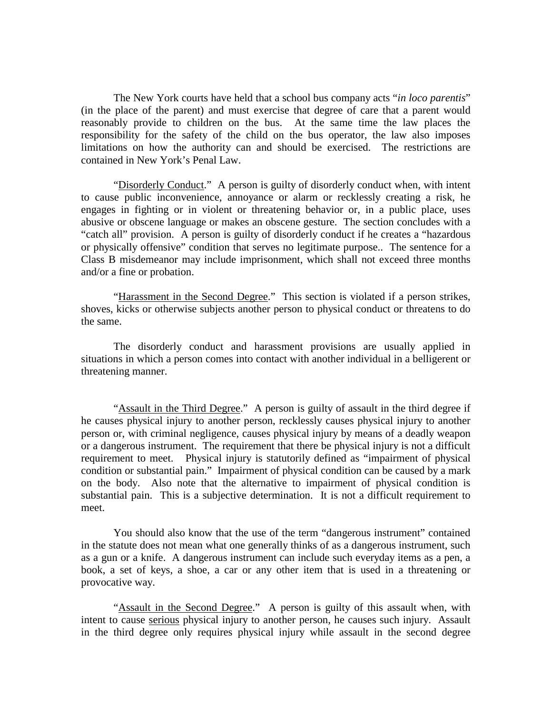The New York courts have held that a school bus company acts "*in loco parentis*" (in the place of the parent) and must exercise that degree of care that a parent would reasonably provide to children on the bus. At the same time the law places the responsibility for the safety of the child on the bus operator, the law also imposes limitations on how the authority can and should be exercised. The restrictions are contained in New York's Penal Law.

"Disorderly Conduct." A person is guilty of disorderly conduct when, with intent to cause public inconvenience, annoyance or alarm or recklessly creating a risk, he engages in fighting or in violent or threatening behavior or, in a public place, uses abusive or obscene language or makes an obscene gesture. The section concludes with a "catch all" provision. A person is guilty of disorderly conduct if he creates a "hazardous or physically offensive" condition that serves no legitimate purpose.. The sentence for a Class B misdemeanor may include imprisonment, which shall not exceed three months and/or a fine or probation.

"Harassment in the Second Degree." This section is violated if a person strikes, shoves, kicks or otherwise subjects another person to physical conduct or threatens to do the same.

 The disorderly conduct and harassment provisions are usually applied in situations in which a person comes into contact with another individual in a belligerent or threatening manner.

"Assault in the Third Degree." A person is guilty of assault in the third degree if he causes physical injury to another person, recklessly causes physical injury to another person or, with criminal negligence, causes physical injury by means of a deadly weapon or a dangerous instrument. The requirement that there be physical injury is not a difficult requirement to meet. Physical injury is statutorily defined as "impairment of physical condition or substantial pain." Impairment of physical condition can be caused by a mark on the body. Also note that the alternative to impairment of physical condition is substantial pain. This is a subjective determination. It is not a difficult requirement to meet.

 You should also know that the use of the term "dangerous instrument" contained in the statute does not mean what one generally thinks of as a dangerous instrument, such as a gun or a knife. A dangerous instrument can include such everyday items as a pen, a book, a set of keys, a shoe, a car or any other item that is used in a threatening or provocative way.

"Assault in the Second Degree." A person is guilty of this assault when, with intent to cause serious physical injury to another person, he causes such injury. Assault in the third degree only requires physical injury while assault in the second degree